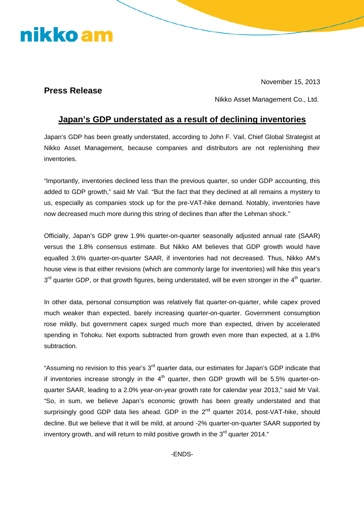## nikko am

November 15, 2013

## **Press Release**

Nikko Asset Management Co., Ltd.

## **Japan's GDP understated as a result of declining inventories**

Japan's GDP has been greatly understated, according to John F. Vail, Chief Global Strategist at Nikko Asset Management, because companies and distributors are not replenishing their inventories.

"Importantly, inventories declined less than the previous quarter, so under GDP accounting, this added to GDP growth," said Mr Vail. "But the fact that they declined at all remains a mystery to us, especially as companies stock up for the pre-VAT-hike demand. Notably, inventories have now decreased much more during this string of declines than after the Lehman shock."

Officially, Japan's GDP grew 1.9% quarter-on-quarter seasonally adjusted annual rate (SAAR) versus the 1.8% consensus estimate. But Nikko AM believes that GDP growth would have equalled 3.6% quarter-on-quarter SAAR, if inventories had not decreased. Thus, Nikko AM's house view is that either revisions (which are commonly large for inventories) will hike this year's  $3<sup>rd</sup>$  quarter GDP, or that growth figures, being understated, will be even stronger in the 4<sup>th</sup> quarter.

In other data, personal consumption was relatively flat quarter-on-quarter, while capex proved much weaker than expected, barely increasing quarter-on-quarter. Government consumption rose mildly, but government capex surged much more than expected, driven by accelerated spending in Tohoku. Net exports subtracted from growth even more than expected, at a 1.8% subtraction.

"Assuming no revision to this year's 3<sup>rd</sup> quarter data, our estimates for Japan's GDP indicate that if inventories increase strongly in the  $4<sup>th</sup>$  quarter, then GDP growth will be 5.5% quarter-onquarter SAAR, leading to a 2.0% year-on-year growth rate for calendar year 2013," said Mr Vail. "So, in sum, we believe Japan's economic growth has been greatly understated and that surprisingly good GDP data lies ahead. GDP in the 2<sup>nd</sup> quarter 2014, post-VAT-hike, should decline. But we believe that it will be mild, at around -2% quarter-on-quarter SAAR supported by inventory growth, and will return to mild positive growth in the 3<sup>rd</sup> quarter 2014."

-ENDS-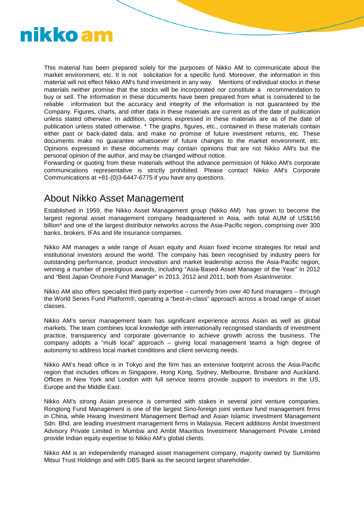

This material has been prepared solely for the purposes of Nikko AM to communicate about the market environment, etc. It is not solicitation for a specific fund. Moreover, the information in this material will not effect Nikko AM's fund investment in any way. Mentions of individual stocks in these materials neither promise that the stocks will be incorporated nor constitute a recommendation to buy or sell. The information in these documents have been prepared from what is considered to be reliable information but the accuracy and integrity of the information is not guaranteed by the Company. Figures, charts, and other data in these materials are current as of the date of publication unless stated otherwise. In addition, opinions expressed in these materials are as of the date of publication unless stated otherwise. \* The graphs, figures, etc., contained in these materials contain either past or back-dated data, and make no promise of future investment returns, etc. These documents make no guarantee whatsoever of future changes to the market environment, etc. Opinions expressed in these documents may contain opinions that are not Nikko AM's but the personal opinion of the author, and may be changed without notice.

Forwarding or quoting from these materials without the advance permission of Nikko AM's corporate communications representative is strictly prohibited. Please contact Nikko AM's Corporate Communications at +81-(0)3-6447-6775 if you have any questions.

## About Nikko Asset Management

Established in 1959, the Nikko Asset Management group (Nikko AM) has grown to become the largest regional asset management company headquartered in Asia, with total AUM of US\$156 billion\* and one of the largest distributor networks across the Asia-Pacific region, comprising over 300 banks, brokers, IFAs and life insurance companies.

Nikko AM manages a wide range of Asian equity and Asian fixed income strategies for retail and institutional investors around the world. The company has been recognised by industry peers for outstanding performance, product innovation and market leadership across the Asia-Pacific region, winning a number of prestigious awards, including "Asia-Based Asset Manager of the Year" in 2012 and "Best Japan Onshore Fund Manager" in 2013, 2012 and 2011, both from *AsianInvestor.*

Nikko AM also offers specialist third-party expertise – currently from over 40 fund managers – through the World Series Fund Platform®, operating a "best-in-class" approach across a broad range of asset classes.

Nikko AM's senior management team has significant experience across Asian as well as global markets. The team combines local knowledge with internationally recognised standards of investment practice, transparency and corporate governance to achieve growth across the business. The company adopts a "multi local" approach – giving local management teams a high degree of autonomy to address local market conditions and client servicing needs.

Nikko AM's head office is in Tokyo and the firm has an extensive footprint across the Asia-Pacific region that includes offices in Singapore, Hong Kong, Sydney, Melbourne, Brisbane and Auckland. Offices in New York and London with full service teams provide support to investors in the US, Europe and the Middle East.

Nikko AM's strong Asian presence is cemented with stakes in several joint venture companies. Rongtong Fund Management is one of the largest Sino-foreign joint venture fund management firms in China, while Hwang Investment Management Berhad and Asian Islamic Investment Management Sdn. Bhd. are leading investment management firms in Malaysia. Recent additions Ambit Investment Advisory Private Limited in Mumbai and Ambit Mauritius Investment Management Private Limited provide Indian equity expertise to Nikko AM's global clients.

Nikko AM is an independently managed asset management company, majority owned by Sumitomo Mitsui Trust Holdings and with DBS Bank as the second largest shareholder.